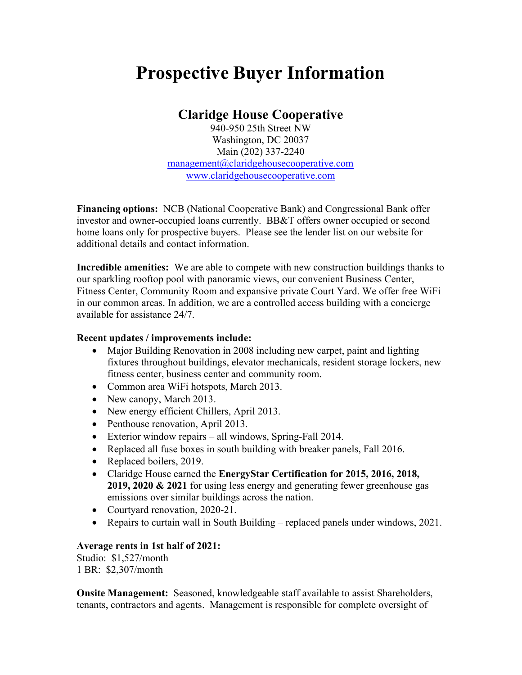## Prospective Buyer Information

## Claridge House Cooperative

940-950 25th Street NW Washington, DC 20037 Main (202) 337-2240 management@claridgehousecooperative.com www.claridgehousecooperative.com

Financing options: NCB (National Cooperative Bank) and Congressional Bank offer investor and owner-occupied loans currently. BB&T offers owner occupied or second home loans only for prospective buyers. Please see the lender list on our website for additional details and contact information.

Incredible amenities: We are able to compete with new construction buildings thanks to our sparkling rooftop pool with panoramic views, our convenient Business Center, Fitness Center, Community Room and expansive private Court Yard. We offer free WiFi in our common areas. In addition, we are a controlled access building with a concierge available for assistance 24/7.

## Recent updates / improvements include:

- Major Building Renovation in 2008 including new carpet, paint and lighting fixtures throughout buildings, elevator mechanicals, resident storage lockers, new fitness center, business center and community room.
- Common area WiFi hotspots, March 2013.
- New canopy, March 2013.
- New energy efficient Chillers, April 2013.
- Penthouse renovation, April 2013.
- Exterior window repairs all windows, Spring-Fall 2014.
- Replaced all fuse boxes in south building with breaker panels, Fall 2016.
- Replaced boilers, 2019.
- Claridge House earned the EnergyStar Certification for 2015, 2016, 2018, 2019, 2020  $\&$  2021 for using less energy and generating fewer greenhouse gas emissions over similar buildings across the nation.
- Courtyard renovation, 2020-21.
- Repairs to curtain wall in South Building replaced panels under windows, 2021.

## Average rents in 1st half of 2021:

Studio: \$1,527/month 1 BR: \$2,307/month

Onsite Management: Seasoned, knowledgeable staff available to assist Shareholders, tenants, contractors and agents. Management is responsible for complete oversight of